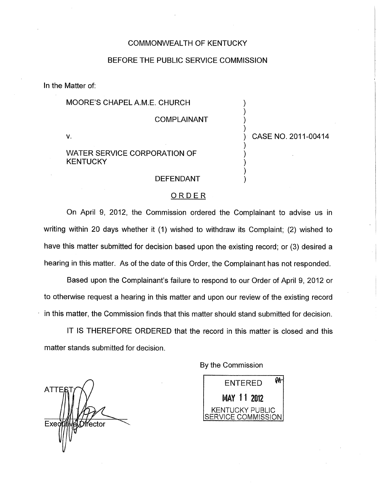# COMMONWEALTH OF KENTUCKY

## BEFORE THE PUBLIC SERVICE COMMISSION

In the Matter of:

### MOORE'S CHAPEL A.M.E. CHURCH )

**COMPLAINANT** 

# WATER SERVICE CORPORATION OF **KENTUCKY**

**DEFENDANT** 

# ORDER

On April 9, 2012, the Commission ordered the Complainant to advise us in writing within 20 days whether it (1) wished to withdraw its Complaint; (2) wished to have this matter submitted for decision based upon the existing record; or (3) desired a hearing in this matter. As of the date of this Order, the Complainant has not responded.

Based upon the Complainant's failure to respond to our Order of April 9, 2012 or to otherwise request a hearing in this matter and upon our review of the existing record In this matter, the Commission finds that this matter should stand submitted for decision.

IT IS THEREFORE ORDERED that the record in this matter is closed and this matter stands submitted for decision.

**ATTE** Exeg fector

By the Commission



V. ) CASE NO. 201 1-00414

)

)

1

)